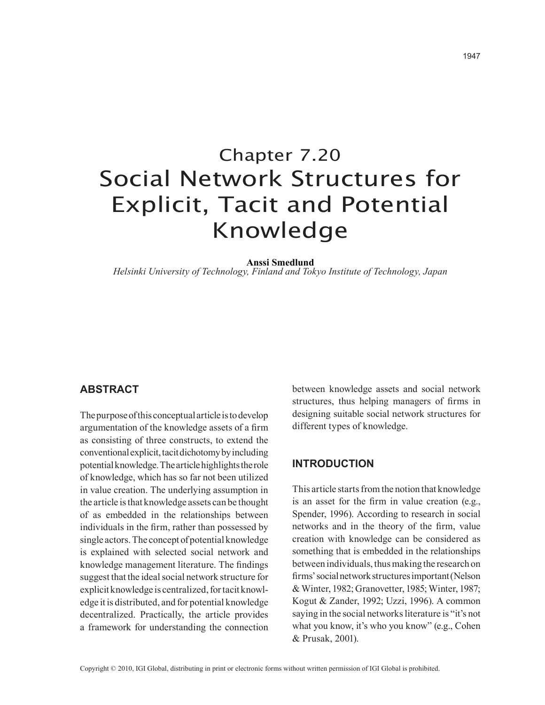# Chapter 7.20 Social Network Structures for Explicit, Tacit and Potential Knowledge

**Anssi Smedlund**

*Helsinki University of Technology, Finland and Tokyo Institute of Technology, Japan*

## **ABSTRACT**

The purpose of this conceptual article is to develop argumentation of the knowledge assets of a firm as consisting of three constructs, to extend the conventional explicit, tacit dichotomy by including potential knowledge. The article highlights the role of knowledge, which has so far not been utilized in value creation. The underlying assumption in the article is that knowledge assets can be thought of as embedded in the relationships between individuals in the firm, rather than possessed by single actors. The concept of potential knowledge is explained with selected social network and knowledge management literature. The findings suggest that the ideal social network structure for explicit knowledge is centralized, for tacit knowledge it is distributed, and for potential knowledge decentralized. Practically, the article provides a framework for understanding the connection between knowledge assets and social network structures, thus helping managers of firms in designing suitable social network structures for different types of knowledge.

### **Introduction**

This article starts from the notion that knowledge is an asset for the firm in value creation (e.g., Spender, 1996). According to research in social networks and in the theory of the firm, value creation with knowledge can be considered as something that is embedded in the relationships between individuals, thus making the research on firms'socialnetworkstructuresimportant(Nelson &Winter, 1982; Granovetter, 1985;Winter, 1987; Kogut & Zander, 1992; Uzzi, 1996). A common saying in the social networks literature is "it's not what you know, it's who you know" (e.g., Cohen & Prusak, 2001).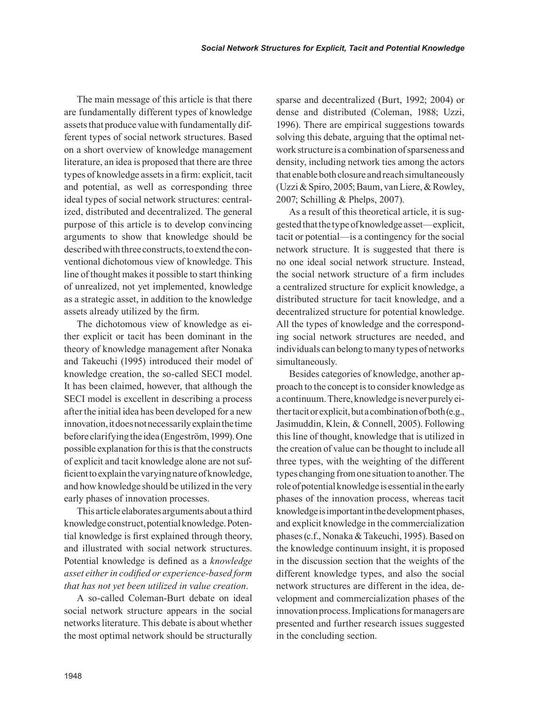The main message of this article is that there are fundamentally different types of knowledge assets that produce value with fundamentally different types of social network structures. Based on a short overview of knowledge management literature, an idea is proposed that there are three types of knowledge assetsin a firm: explicit, tacit and potential, as well as corresponding three ideal types of social network structures: centralized, distributed and decentralized. The general purpose of this article is to develop convincing arguments to show that knowledge should be described with three constructs, to extend the conventional dichotomous view of knowledge. This line of thought makes it possible to start thinking of unrealized, not yet implemented, knowledge as a strategic asset, in addition to the knowledge assets already utilized by the firm.

The dichotomous view of knowledge as either explicit or tacit has been dominant in the theory of knowledge management after Nonaka and Takeuchi (1995) introduced their model of knowledge creation, the so-called SECI model. It has been claimed, however, that although the SECI model is excellent in describing a process after the initial idea has been developed for a new innovation, it does not necessarily explain the time before clarifying the idea (Engeström, 1999). One possible explanation for this is that the constructs of explicit and tacit knowledge alone are not sufficient to explain the varying nature of knowledge, and how knowledge should be utilized in the very early phases of innovation processes.

This article elaborates arguments about a third knowledge construct, potential knowledge. Potential knowledge is first explained through theory, and illustrated with social network structures. Potential knowledge is defined as a *knowledge asset either in codified or experience-based form that has not yet been utilized in value creation*.

A so-called Coleman-Burt debate on ideal social network structure appears in the social networks literature. This debate is about whether the most optimal network should be structurally sparse and decentralized (Burt, 1992; 2004) or dense and distributed (Coleman, 1988; Uzzi, 1996). There are empirical suggestions towards solving this debate, arguing that the optimal network structure is a combination of sparseness and density, including network ties among the actors that enable both closure and reach simultaneously (Uzzi&Spiro, 2005;Baum, vanLiere,&Rowley, 2007; Schilling & Phelps, 2007).

As a result of this theoretical article, it is suggested that the type of knowledge asset—explicit, tacit or potential—is a contingency for the social network structure. It is suggested that there is no one ideal social network structure. Instead, the social network structure of a firm includes a centralized structure for explicit knowledge, a distributed structure for tacit knowledge, and a decentralized structure for potential knowledge. All the types of knowledge and the corresponding social network structures are needed, and individuals can belong to many types of networks simultaneously.

Besides categories of knowledge, another approach to the concept is to consider knowledge as a continuum. There, knowledge is never purely either tacit or explicit, but a combination of both (e.g., Jasimuddin, Klein, & Connell, 2005). Following this line of thought, knowledge that is utilized in the creation of value can be thought to include all three types, with the weighting of the different types changing from one situation to another. The role of potential knowledge is essential in the early phases of the innovation process, whereas tacit knowledge is important in the development phases, and explicit knowledge in the commercialization phases(c.f., Nonaka&Takeuchi, 1995).Based on the knowledge continuum insight, it is proposed in the discussion section that the weights of the different knowledge types, and also the social network structures are different in the idea, development and commercialization phases of the innovation process. Implications for managers are presented and further research issues suggested in the concluding section.